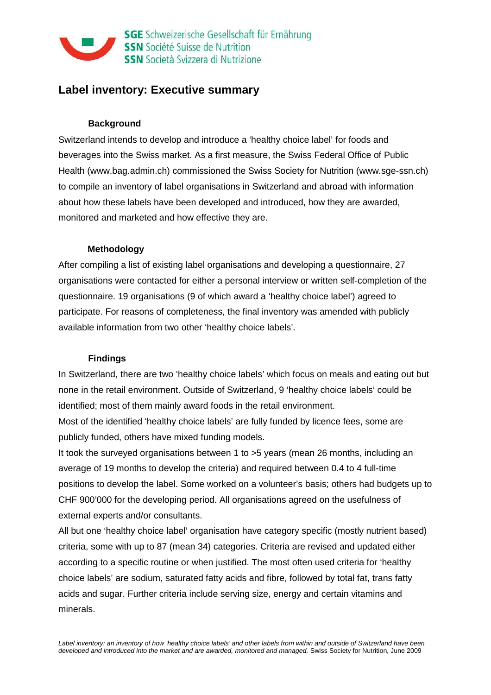

# **Label inventory: Executive summary**

#### **Background**

Switzerland intends to develop and introduce a 'healthy choice label' for foods and beverages into the Swiss market. As a first measure, the Swiss Federal Office of Public Health (www.bag.admin.ch) commissioned the Swiss Society for Nutrition (www.sge-ssn.ch) to compile an inventory of label organisations in Switzerland and abroad with information about how these labels have been developed and introduced, how they are awarded, monitored and marketed and how effective they are.

#### **Methodology**

After compiling a list of existing label organisations and developing a questionnaire, 27 organisations were contacted for either a personal interview or written self-completion of the questionnaire. 19 organisations (9 of which award a 'healthy choice label') agreed to participate. For reasons of completeness, the final inventory was amended with publicly available information from two other 'healthy choice labels'.

#### **Findings**

In Switzerland, there are two 'healthy choice labels' which focus on meals and eating out but none in the retail environment. Outside of Switzerland, 9 'healthy choice labels' could be identified; most of them mainly award foods in the retail environment.

Most of the identified 'healthy choice labels' are fully funded by licence fees, some are publicly funded, others have mixed funding models.

It took the surveyed organisations between 1 to >5 years (mean 26 months, including an average of 19 months to develop the criteria) and required between 0.4 to 4 full-time positions to develop the label. Some worked on a volunteer's basis; others had budgets up to CHF 900'000 for the developing period. All organisations agreed on the usefulness of external experts and/or consultants.

All but one 'healthy choice label' organisation have category specific (mostly nutrient based) criteria, some with up to 87 (mean 34) categories. Criteria are revised and updated either according to a specific routine or when justified. The most often used criteria for 'healthy choice labels' are sodium, saturated fatty acids and fibre, followed by total fat, trans fatty acids and sugar. Further criteria include serving size, energy and certain vitamins and minerals.